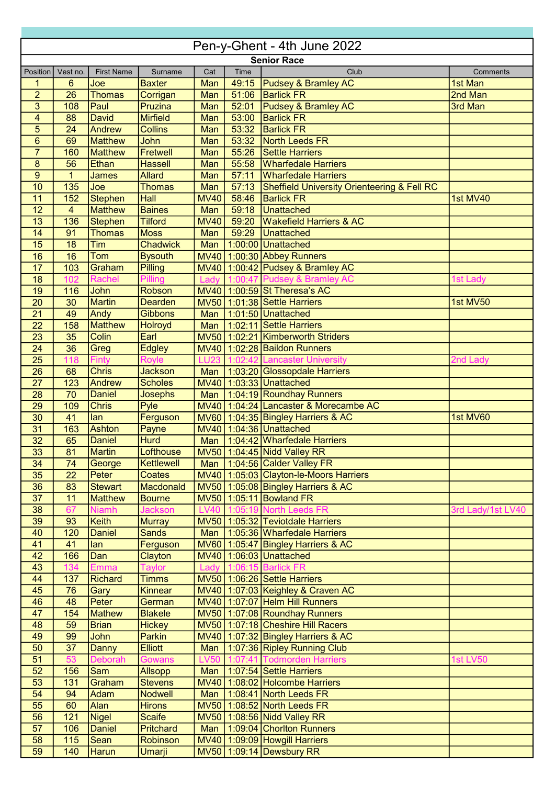| Pen-y-Ghent - 4th June 2022 |                 |                   |                  |             |       |                                                        |                   |  |
|-----------------------------|-----------------|-------------------|------------------|-------------|-------|--------------------------------------------------------|-------------------|--|
| <b>Senior Race</b>          |                 |                   |                  |             |       |                                                        |                   |  |
| Position                    | Vest no.        | <b>First Name</b> | Surname          | Cat         | Time  | Club                                                   | Comments          |  |
| 1                           | $6\phantom{1}$  | Joe               | <b>Baxter</b>    | Man         | 49:15 | <b>Pudsey &amp; Bramley AC</b>                         | 1st Man           |  |
| $\overline{2}$              | 26              | <b>Thomas</b>     | Corrigan         | Man         | 51:06 | <b>Barlick FR</b>                                      | 2nd Man           |  |
| 3                           | 108             | Paul              | Pruzina          | Man         | 52:01 | <b>Pudsey &amp; Bramley AC</b>                         | 3rd Man           |  |
| $\overline{\mathbf{4}}$     | 88              | <b>David</b>      | <b>Mirfield</b>  | Man         | 53:00 | <b>Barlick FR</b>                                      |                   |  |
| 5                           | $\overline{24}$ | Andrew            | <b>Collins</b>   | Man         | 53:32 | <b>Barlick FR</b>                                      |                   |  |
| $6\phantom{1}$              | 69              | <b>Matthew</b>    | John             | Man         | 53:32 | North Leeds FR                                         |                   |  |
| $\overline{7}$              | 160             | <b>Matthew</b>    | Fretwell         | Man         | 55:26 | <b>Settle Harriers</b>                                 |                   |  |
| $\bf 8$                     | 56              | <b>Ethan</b>      | <b>Hassell</b>   | Man         | 55:58 | <b>Wharfedale Harriers</b>                             |                   |  |
| $\overline{9}$              | $\mathbf{1}$    | <b>James</b>      | <b>Allard</b>    | Man         | 57:11 | <b>Wharfedale Harriers</b>                             |                   |  |
| 10                          | 135             | Joe               | <b>Thomas</b>    | Man         | 57:13 | <b>Sheffield University Orienteering &amp; Fell RC</b> |                   |  |
| 11                          | 152             | <b>Stephen</b>    | <b>Hall</b>      | <b>MV40</b> | 58:46 | <b>Barlick FR</b>                                      | 1st MV40          |  |
| 12                          | $\overline{4}$  | <b>Matthew</b>    | <b>Baines</b>    | Man         | 59:18 | Unattached                                             |                   |  |
| 13                          | 136             | Stephen           | <b>Tilford</b>   | <b>MV40</b> | 59:20 | <b>Wakefield Harriers &amp; AC</b>                     |                   |  |
| 14                          | 91              | <b>Thomas</b>     | <b>Moss</b>      | Man         | 59:29 | <b>Unattached</b>                                      |                   |  |
| 15                          | 18              | Tim               | <b>Chadwick</b>  | Man         |       | 1:00:00 Unattached                                     |                   |  |
| 16                          | 16              | <b>Tom</b>        | <b>Bysouth</b>   |             |       | MV40 1:00:30 Abbey Runners                             |                   |  |
| 17                          | 103             | Graham            | <b>Pilling</b>   |             |       | MV40 1:00:42 Pudsey & Bramley AC                       |                   |  |
| 18                          | 102             | Rachel            | Pilling          |             |       | Lady 1:00:47 Pudsey & Bramley AC                       | 1st Lady          |  |
| 19                          | 116             | John              | <b>Robson</b>    |             |       | MV40 1:00:59 St Theresa's AC                           |                   |  |
| 20                          | 30              | <b>Martin</b>     | <b>Dearden</b>   |             |       | MV50 1:01:38 Settle Harriers                           | 1st MV50          |  |
| $\overline{21}$             | 49              | Andy              | <b>Gibbons</b>   | Man         |       | 1:01:50 Unattached                                     |                   |  |
| 22                          | 158             | <b>Matthew</b>    | Holroyd          | Man         |       | 1:02:11 Settle Harriers                                |                   |  |
| 23                          | $\overline{35}$ | Colin             | Earl             |             |       | MV50 1:02:21 Kimberworth Striders                      |                   |  |
| $\overline{24}$             | $\overline{36}$ | Greg              | <b>Edgley</b>    |             |       | MV40 1:02:28 Baildon Runners                           |                   |  |
| $\overline{25}$             | 118             | <b>Finty</b>      | <b>Royle</b>     | <b>LU23</b> |       | 1:02:42 Lancaster University                           | 2nd Lady          |  |
| $\overline{26}$             | $\overline{68}$ | <b>Chris</b>      | <b>Jackson</b>   | Man         |       | 1:03:20 Glossopdale Harriers                           |                   |  |
| 27                          | 123             | Andrew            | <b>Scholes</b>   |             |       | MV40 1:03:33 Unattached                                |                   |  |
| 28                          | 70              | <b>Daniel</b>     | Josephs          | Man         |       | 1:04:19 Roundhay Runners                               |                   |  |
| 29                          | 109             | <b>Chris</b>      | Pyle             |             |       | MV40 1:04:24 Lancaster & Morecambe AC                  |                   |  |
| 30                          | 41              | lan               | Ferguson         |             |       | MV60 1:04:35 Bingley Harriers & AC                     | 1st MV60          |  |
| 31                          | 163             | Ashton            | Payne            |             |       | MV40 1:04:36 Unattached                                |                   |  |
| $\overline{32}$             | 65              | <b>Daniel</b>     | <b>Hurd</b>      |             |       | Man   1:04:42 Wharfedale Harriers                      |                   |  |
| 33                          | 81              | Martin            | Lofthouse        |             |       | MV50 1:04:45 Nidd Valley RR                            |                   |  |
| 34                          | 74              | George            | Kettlewell       |             |       | Man   1:04:56 Calder Valley FR                         |                   |  |
| 35                          | $\overline{22}$ | Peter             | <b>Coates</b>    |             |       | MV40 1:05:03 Clayton-le-Moors Harriers                 |                   |  |
| 36                          | 83              | <b>Stewart</b>    | Macdonald        |             |       | MV50 1:05:08 Bingley Harriers & AC                     |                   |  |
| $\overline{37}$             | 11              | <b>Matthew</b>    | <b>Bourne</b>    |             |       | MV50 1:05:11 Bowland FR                                |                   |  |
| 38                          | 67              | <b>Niamh</b>      | <b>Jackson</b>   |             |       | LV40 1:05:19 North Leeds FR                            | 3rd Lady/1st LV40 |  |
| 39                          | 93              | <b>Keith</b>      | <b>Murray</b>    |             |       | MV50 1:05:32 Teviotdale Harriers                       |                   |  |
| 40                          | 120             | <b>Daniel</b>     | <b>Sands</b>     |             |       | Man   1:05:36 Wharfedale Harriers                      |                   |  |
| 41                          | 41              | lan               | Ferguson         |             |       | $MV60$   1:05:47 Bingley Harriers & AC                 |                   |  |
| 42                          | 166             | Dan               | Clayton          |             |       | MV40   1:06:03   Unattached                            |                   |  |
| 43                          | 134             | <b>Emma</b>       | <b>Taylor</b>    |             |       | Lady 1:06:15 Barlick FR                                |                   |  |
| 44                          | 137             | <b>Richard</b>    | <b>Timms</b>     |             |       | MV50 1:06:26 Settle Harriers                           |                   |  |
| 45                          | 76              | <b>Gary</b>       | <b>Kinnear</b>   |             |       | MV40 1:07:03 Keighley & Craven AC                      |                   |  |
| 46                          | 48              | Peter             | German           |             |       | MV40 1:07:07 Helm Hill Runners                         |                   |  |
| 47                          | 154             | <b>Mathew</b>     | <b>Blakele</b>   |             |       | MV50 1:07:08 Roundhay Runners                          |                   |  |
| 48                          | 59              | <b>Brian</b>      | <b>Hickey</b>    |             |       | MV50 1:07:18 Cheshire Hill Racers                      |                   |  |
| 49                          | 99              | <b>John</b>       | Parkin           |             |       | MV40 1:07:32 Bingley Harriers & AC                     |                   |  |
| 50                          | 37              | <b>Danny</b>      | <b>Elliott</b>   |             |       | Man   1:07:36 Ripley Running Club                      |                   |  |
| 51                          | 53              | Deborah           | Gowans           |             |       | LV50 1:07:41 Todmorden Harriers                        | <b>1st LV50</b>   |  |
| 52                          | 156             | <b>Sam</b>        | Allsopp          |             |       | Man   1:07:54 Settle Harriers                          |                   |  |
| 53                          | 131             | Graham            | <b>Stevens</b>   |             |       | MV40 1:08:02 Holcombe Harriers                         |                   |  |
| 54                          | 94              | Adam              | <b>Nodwell</b>   |             |       | Man   1:08:41 North Leeds FR                           |                   |  |
| 55                          | 60              | Alan              | <b>Hirons</b>    |             |       | MV50 1:08:52 North Leeds FR                            |                   |  |
| 56                          | 121             | <b>Nigel</b>      | <b>Scaife</b>    |             |       | MV50 1:08:56 Nidd Valley RR                            |                   |  |
| 57                          | 106             | <b>Daniel</b>     | <b>Pritchard</b> |             |       | Man   1:09:04 Chorlton Runners                         |                   |  |
| 58                          | 115             | Sean              | Robinson         |             |       | MV40 1:09:09 Howgill Harriers                          |                   |  |
| 59                          | 140             | <b>Harun</b>      | <b>Umarji</b>    |             |       | MV50 1:09:14 Dewsbury RR                               |                   |  |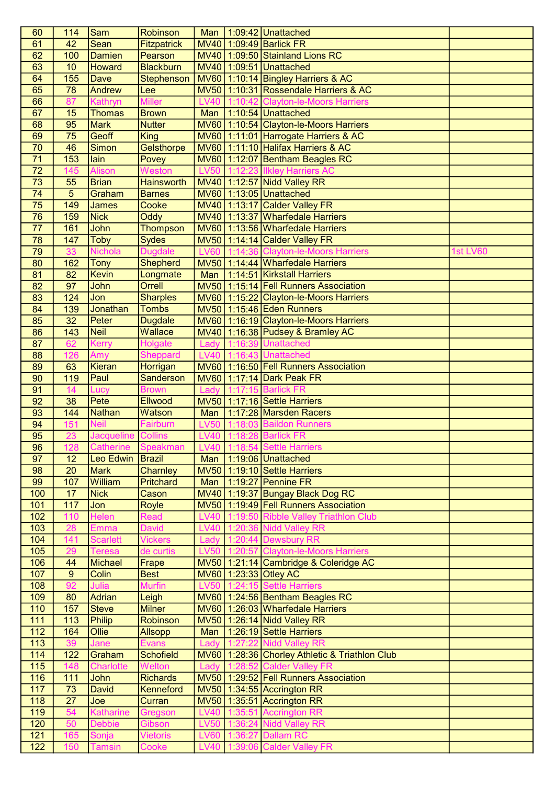| 60              | 114              | Sam                | Robinson          | Man         | $1:09:42$ Unattached                           |          |
|-----------------|------------------|--------------------|-------------------|-------------|------------------------------------------------|----------|
| 61              | 42               | Sean               | Fitzpatrick       |             | MV40 1:09:49 Barlick FR                        |          |
| 62              | 100              | Damien             | Pearson           |             | MV40 1:09:50 Stainland Lions RC                |          |
| 63              | 10               | Howard             | <b>Blackburn</b>  |             | MV40 1:09:51 Unattached                        |          |
| 64              | 155              | Dave               | <b>Stephenson</b> |             | $MVO0$ 1:10:14 Bingley Harriers & AC           |          |
| 65              | 78               | Andrew             | Lee               |             | MV50 1:10:31 Rossendale Harriers & AC          |          |
| 66              | 87               | Kathryn            | <b>Miller</b>     |             | LV40 1:10:42 Clayton-le-Moors Harriers         |          |
| 67              | 15               | Thomas             | <b>Brown</b>      | Man         | 1:10:54 Unattached                             |          |
| 68              | 95               | <b>Mark</b>        | <b>Nutter</b>     |             | MV60 1:10:54 Clayton-le-Moors Harriers         |          |
|                 | 75               | Geoff              |                   |             | MV60 1:11:01 Harrogate Harriers & AC           |          |
| 69<br>70        | 46               | Simon              | <b>King</b>       |             | MV60 1:11:10 Halifax Harriers & AC             |          |
|                 |                  |                    | Gelsthorpe        |             |                                                |          |
| $\overline{71}$ | 153              | lain               | Povey             |             | MV60 1:12:07 Bentham Beagles RC                |          |
| $\overline{72}$ | 145              | <b>Alison</b>      | Weston            | <b>LV50</b> | 1:12:23 Ilkley Harriers AC                     |          |
| $\overline{73}$ | 55               | <b>Brian</b>       | <b>Hainsworth</b> |             | MV40 1:12:57 Nidd Valley RR                    |          |
| $\overline{74}$ | $\overline{5}$   | Graham             | <b>Barnes</b>     |             | MV60 1:13:05 Unattached                        |          |
| $\overline{75}$ | $\overline{149}$ | <b>James</b>       | Cooke             |             | MV40 1:13:17 Calder Valley FR                  |          |
| $\overline{76}$ | 159              | <b>Nick</b>        | Oddy              |             | MV40 1:13:37 Wharfedale Harriers               |          |
| $\overline{77}$ | 161              | John               | <b>Thompson</b>   |             | MV60 1:13:56 Wharfedale Harriers               |          |
| 78              | 147              | <b>Toby</b>        | <b>Sydes</b>      |             | MV50 1:14:14 Calder Valley FR                  |          |
| 79              | $\overline{33}$  | <b>Nichola</b>     | <b>Dugdale</b>    |             | LV60 1:14:36 Clayton-le-Moors Harriers         | 1st LV60 |
| 80              | 162              | Tony               | Shepherd          |             | MV50 1:14:44 Wharfedale Harriers               |          |
| 81              | 82               | Kevin              | Longmate          | Man         | 1:14:51 Kirkstall Harriers                     |          |
| 82              | $\overline{97}$  | John               | Orrell            |             | MV50 1:15:14 Fell Runners Association          |          |
| 83              | 124              | Jon                | <b>Sharples</b>   |             | MV60 1:15:22 Clayton-le-Moors Harriers         |          |
| 84              | 139              | Jonathan           | <b>Tombs</b>      |             | MV50 1:15:46 Eden Runners                      |          |
| 85              | $\overline{32}$  | Peter              | <b>Dugdale</b>    |             | MV60 1:16:19 Clayton-le-Moors Harriers         |          |
| 86              | 143              | Neil               | Wallace           |             | MV40 1:16:38 Pudsey & Bramley AC               |          |
| 87              | $\overline{62}$  | <b>Kerry</b>       | Holgate           | Lady        | 1:16:39 Unattached                             |          |
| 88              | 126              | Amy                | <b>Sheppard</b>   | <b>LV40</b> | 1:16:43 Unattached                             |          |
|                 |                  | Kieran             |                   |             | MV60 1:16:50 Fell Runners Association          |          |
| 89              | 63               |                    | Horrigan          |             |                                                |          |
| 90              | 119              | Paul               | <b>Sanderson</b>  |             | MV60 1:17:14 Dark Peak FR                      |          |
| 91              | 14               | Lucy               | <b>Brown</b>      | Lady        | 15 Barlick FR                                  |          |
| 92              | 38               | Pete               | <b>Ellwood</b>    |             | MV50 1:17:16 Settle Harriers                   |          |
| 93              | 144              | <b>Nathan</b>      | Watson            | Man         | 1:17:28 Marsden Racers                         |          |
| 94              | 151              | <b>Neil</b>        | Fairburn          | <b>LV50</b> | 1:18:03 Baildon Runners                        |          |
| 95              | 23               | Jacqueline Collins |                   | <b>LV40</b> | 1:18:28 Barlick FR                             |          |
| 96              | 128              | Catherine          | Speakman          |             | LV40 1:18:54 Settle Harriers                   |          |
| 97              | 12               | Leo Edwin          | <b>Brazil</b>     |             | Man   1:19:06 Unattached                       |          |
| 98              | 20               | <b>Mark</b>        | Charnley          |             | MV50 1:19:10 Settle Harriers                   |          |
| 99              | 107              | William            | <b>Pritchard</b>  | Man         | $1:19:27$ Pennine FR                           |          |
| 100             | 17               | <b>Nick</b>        | Cason             |             | MV40 1:19:37 Bungay Black Dog RC               |          |
| 101             | 117              | Jon                | <b>Royle</b>      |             | MV50 1:19:49 Fell Runners Association          |          |
| 102             | 110              | Helen              | Read              | <b>LV40</b> | 1:19:50 Ribble Valley Triathlon Club           |          |
| 103             | 28               | Emma               | <b>David</b>      |             | LV40 1:20:36 Nidd Valley RR                    |          |
| 104             | 141              | <b>Scarlett</b>    | <b>Vickers</b>    | Lady        | 1:20:44 Dewsbury RR                            |          |
| 105             | 29               | <b>Teresa</b>      | de curtis         | <b>LV50</b> | 1:20:57 Clayton-le-Moors Harriers              |          |
| 106             | 44               | Michael            | Frape             |             | MV50 1:21:14 Cambridge & Coleridge AC          |          |
| 107             | $9\,$            | Colin              | <b>Best</b>       |             | MV60 1:23:33 Otley AC                          |          |
| 108             | 92               | Julia              | <b>Murfin</b>     | <b>LV50</b> | 1:24:15 Settle Harriers                        |          |
| 109             | 80               | Adrian             | Leigh             |             | MV60 1:24:56 Bentham Beagles RC                |          |
| 110             | 157              | <b>Steve</b>       | <b>Milner</b>     |             | MV60 1:26:03 Wharfedale Harriers               |          |
| 111             | 113              | Philip             | Robinson          |             | MV50 1:26:14 Nidd Valley RR                    |          |
| 112             | 164              | <b>Ollie</b>       | <b>Allsopp</b>    |             | Man   1:26:19 Settle Harriers                  |          |
| 113             | 39               | Jane               | Evans             | Lady        | 1:27:22 Nidd Valley RR                         |          |
| 114             | 122              | Graham             | <b>Schofield</b>  |             | MV60 1:28:36 Chorley Athletic & Triathlon Club |          |
| 115             | 148              | <b>Charlotte</b>   | Welton            | Lady        | 1:28:52 Calder Valley FR                       |          |
|                 | 111              |                    |                   |             |                                                |          |
| 116             |                  | <b>John</b>        | <b>Richards</b>   |             | MV50 1:29:52 Fell Runners Association          |          |
| 117             | 73               | <b>David</b>       | <b>Kenneford</b>  |             | $MV50$ 1:34:55 Accrington RR                   |          |
| 118             | $\overline{27}$  | Joe                | Curran            |             | $MV50$ 1:35:51 Accrington RR                   |          |
| 119             | 54               | Katharine          | Gregson           | <b>LV40</b> | 1:35:51 Accrington RR                          |          |
| 120             | 50               | <b>Debbie</b>      | Gibson            | <b>LV50</b> | 1:36:24 Nidd Valley RR                         |          |
| 121             | 165              | Sonja              | <b>Vietoris</b>   | <b>LV60</b> | 1:36:27 Dallam RC                              |          |
| 122             | 150              | <b>Tamsin</b>      | Cooke             | <b>LV40</b> | 1:39:06 Calder Valley FR                       |          |